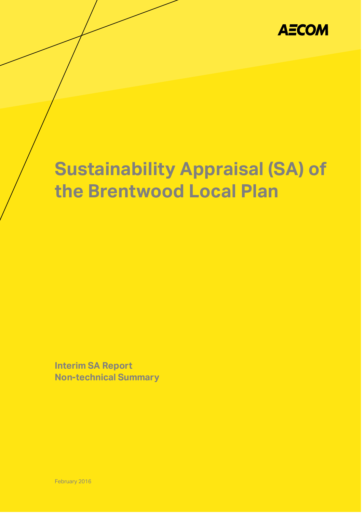

# **Sustainability Appraisal (SA) of the Brentwood Local Plan**

 $K_{\rm eff}$  County Council Sustainability Appraisal (SA) of the Brentwood Local Planne  $\sim$ 

**Interim SA Report Non-technical Summary**

February 2016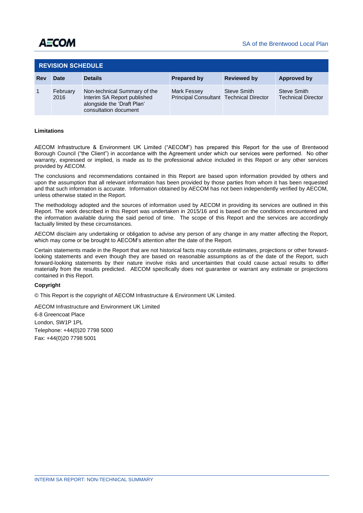| <b>REVISION SCHEDULE</b> |                  |                                                                                                                    |                                                        |                    |                                          |
|--------------------------|------------------|--------------------------------------------------------------------------------------------------------------------|--------------------------------------------------------|--------------------|------------------------------------------|
| Rev                      | <b>Date</b>      | <b>Details</b>                                                                                                     | Prepared by                                            | <b>Reviewed by</b> | Approved by                              |
|                          | February<br>2016 | Non-technical Summary of the<br>Interim SA Report published<br>alongside the 'Draft Plan'<br>consultation document | Mark Fessey<br>Principal Consultant Technical Director | Steve Smith        | Steve Smith<br><b>Technical Director</b> |

# **Limitations**

AECOM Infrastructure & Environment UK Limited ("AECOM") has prepared this Report for the use of Brentwood Borough Council ("the Client") in accordance with the Agreement under which our services were performed. No other warranty, expressed or implied, is made as to the professional advice included in this Report or any other services provided by AECOM.

The conclusions and recommendations contained in this Report are based upon information provided by others and upon the assumption that all relevant information has been provided by those parties from whom it has been requested and that such information is accurate. Information obtained by AECOM has not been independently verified by AECOM, unless otherwise stated in the Report.

The methodology adopted and the sources of information used by AECOM in providing its services are outlined in this Report. The work described in this Report was undertaken in 2015/16 and is based on the conditions encountered and the information available during the said period of time. The scope of this Report and the services are accordingly factually limited by these circumstances.

AECOM disclaim any undertaking or obligation to advise any person of any change in any matter affecting the Report, which may come or be brought to AECOM's attention after the date of the Report.

Certain statements made in the Report that are not historical facts may constitute estimates, projections or other forwardlooking statements and even though they are based on reasonable assumptions as of the date of the Report, such forward-looking statements by their nature involve risks and uncertainties that could cause actual results to differ materially from the results predicted. AECOM specifically does not guarantee or warrant any estimate or projections contained in this Report.

#### **Copyright**

© This Report is the copyright of AECOM Infrastructure & Environment UK Limited.

AECOM Infrastructure and Environment UK Limited

6-8 Greencoat Place London, SW1P 1PL Telephone: +44(0)20 7798 5000 Fax: +44(0)20 7798 5001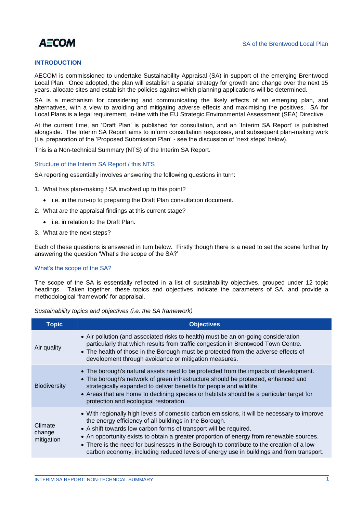

# **INTRODUCTION**

AECOM is commissioned to undertake Sustainability Appraisal (SA) in support of the emerging Brentwood Local Plan. Once adopted, the plan will establish a spatial strategy for growth and change over the next 15 years, allocate sites and establish the policies against which planning applications will be determined.

SA is a mechanism for considering and communicating the likely effects of an emerging plan, and alternatives, with a view to avoiding and mitigating adverse effects and maximising the positives. SA for Local Plans is a legal requirement, in-line with the EU Strategic Environmental Assessment (SEA) Directive.

At the current time, an 'Draft Plan' is published for consultation, and an 'Interim SA Report' is published alongside. The Interim SA Report aims to inform consultation responses, and subsequent plan-making work (i.e. preparation of the 'Proposed Submission Plan' - see the discussion of 'next steps' below).

This is a Non-technical Summary (NTS) of the Interim SA Report.

#### Structure of the Interim SA Report / this NTS

SA reporting essentially involves answering the following questions in turn:

- 1. What has plan-making / SA involved up to this point?
	- i.e. in the run-up to preparing the Draft Plan consultation document.
- 2. What are the appraisal findings at this current stage?
	- i.e. in relation to the Draft Plan.
- 3. What are the next steps?

Each of these questions is answered in turn below. Firstly though there is a need to set the scene further by answering the question 'What's the scope of the SA?'

#### What's the scope of the SA?

The scope of the SA is essentially reflected in a list of sustainability objectives, grouped under 12 topic headings. Taken together, these topics and objectives indicate the parameters of SA, and provide a methodological 'framework' for appraisal.

*Sustainability topics and objectives (i.e. the SA framework)*

| <b>Topic</b>                    | <b>Objectives</b>                                                                                                                                                                                                                                                                                                                                                                                                                                                                                              |
|---------------------------------|----------------------------------------------------------------------------------------------------------------------------------------------------------------------------------------------------------------------------------------------------------------------------------------------------------------------------------------------------------------------------------------------------------------------------------------------------------------------------------------------------------------|
| Air quality                     | • Air pollution (and associated risks to health) must be an on-going consideration<br>particularly that which results from traffic congestion in Brentwood Town Centre.<br>• The health of those in the Borough must be protected from the adverse effects of<br>development through avoidance or mitigation measures.                                                                                                                                                                                         |
| <b>Biodiversity</b>             | • The borough's natural assets need to be protected from the impacts of development.<br>• The borough's network of green infrastructure should be protected, enhanced and<br>strategically expanded to deliver benefits for people and wildlife.<br>• Areas that are home to declining species or habitats should be a particular target for<br>protection and ecological restoration.                                                                                                                         |
| Climate<br>change<br>mitigation | • With regionally high levels of domestic carbon emissions, it will be necessary to improve<br>the energy efficiency of all buildings in the Borough.<br>• A shift towards low carbon forms of transport will be required.<br>• An opportunity exists to obtain a greater proportion of energy from renewable sources.<br>• There is the need for businesses in the Borough to contribute to the creation of a low-<br>carbon economy, including reduced levels of energy use in buildings and from transport. |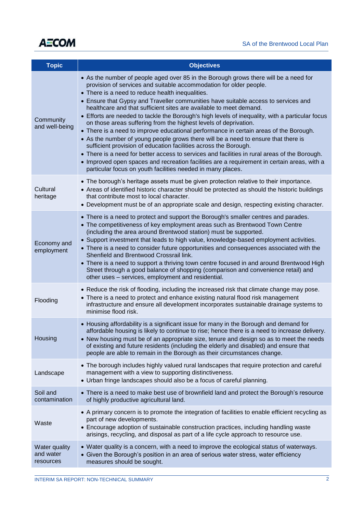

| <b>Topic</b>                                   | <b>Objectives</b>                                                                                                                                                                                                                                                                                                                                                                                                                                                                                                                                                                                                                                                                                                                                                                                                                                                                                                                                                                                                                                                   |  |  |  |  |
|------------------------------------------------|---------------------------------------------------------------------------------------------------------------------------------------------------------------------------------------------------------------------------------------------------------------------------------------------------------------------------------------------------------------------------------------------------------------------------------------------------------------------------------------------------------------------------------------------------------------------------------------------------------------------------------------------------------------------------------------------------------------------------------------------------------------------------------------------------------------------------------------------------------------------------------------------------------------------------------------------------------------------------------------------------------------------------------------------------------------------|--|--|--|--|
| Community<br>and well-being                    | • As the number of people aged over 85 in the Borough grows there will be a need for<br>provision of services and suitable accommodation for older people.<br>• There is a need to reduce health inequalities.<br>• Ensure that Gypsy and Traveller communities have suitable access to services and<br>healthcare and that sufficient sites are available to meet demand.<br>• Efforts are needed to tackle the Borough's high levels of inequality, with a particular focus<br>on those areas suffering from the highest levels of deprivation.<br>• There is a need to improve educational performance in certain areas of the Borough.<br>• As the number of young people grows there will be a need to ensure that there is<br>sufficient provision of education facilities across the Borough.<br>• There is a need for better access to services and facilities in rural areas of the Borough.<br>• Improved open spaces and recreation facilities are a requirement in certain areas, with a<br>particular focus on youth facilities needed in many places. |  |  |  |  |
| Cultural<br>heritage                           | • The borough's heritage assets must be given protection relative to their importance.<br>• Areas of identified historic character should be protected as should the historic buildings<br>that contribute most to local character.<br>• Development must be of an appropriate scale and design, respecting existing character.                                                                                                                                                                                                                                                                                                                                                                                                                                                                                                                                                                                                                                                                                                                                     |  |  |  |  |
| Economy and<br>employment                      | • There is a need to protect and support the Borough's smaller centres and parades.<br>• The competitiveness of key employment areas such as Brentwood Town Centre<br>(including the area around Brentwood station) must be supported.<br>• Support investment that leads to high value, knowledge-based employment activities.<br>• There is a need to consider future opportunities and consequences associated with the<br>Shenfield and Brentwood Crossrail link.<br>• There is a need to support a thriving town centre focused in and around Brentwood High<br>Street through a good balance of shopping (comparison and convenience retail) and<br>other uses - services, employment and residential.                                                                                                                                                                                                                                                                                                                                                        |  |  |  |  |
| Flooding                                       | • Reduce the risk of flooding, including the increased risk that climate change may pose.<br>• There is a need to protect and enhance existing natural flood risk management<br>infrastructure and ensure all development incorporates sustainable drainage systems to<br>minimise flood risk.                                                                                                                                                                                                                                                                                                                                                                                                                                                                                                                                                                                                                                                                                                                                                                      |  |  |  |  |
| Housing                                        | • Housing affordability is a significant issue for many in the Borough and demand for<br>affordable housing is likely to continue to rise; hence there is a need to increase delivery.<br>• New housing must be of an appropriate size, tenure and design so as to meet the needs<br>of existing and future residents (including the elderly and disabled) and ensure that<br>people are able to remain in the Borough as their circumstances change.                                                                                                                                                                                                                                                                                                                                                                                                                                                                                                                                                                                                               |  |  |  |  |
| Landscape                                      | • The borough includes highly valued rural landscapes that require protection and careful<br>management with a view to supporting distinctiveness.<br>• Urban fringe landscapes should also be a focus of careful planning.                                                                                                                                                                                                                                                                                                                                                                                                                                                                                                                                                                                                                                                                                                                                                                                                                                         |  |  |  |  |
| Soil and<br>contamination                      | • There is a need to make best use of brownfield land and protect the Borough's resource<br>of highly productive agricultural land.                                                                                                                                                                                                                                                                                                                                                                                                                                                                                                                                                                                                                                                                                                                                                                                                                                                                                                                                 |  |  |  |  |
| Waste                                          | • A primary concern is to promote the integration of facilities to enable efficient recycling as<br>part of new developments.<br>• Encourage adoption of sustainable construction practices, including handling waste<br>arisings, recycling, and disposal as part of a life cycle approach to resource use.                                                                                                                                                                                                                                                                                                                                                                                                                                                                                                                                                                                                                                                                                                                                                        |  |  |  |  |
| <b>Water quality</b><br>and water<br>resources | • Water quality is a concern, with a need to improve the ecological status of waterways.<br>• Given the Borough's position in an area of serious water stress, water efficiency<br>measures should be sought.                                                                                                                                                                                                                                                                                                                                                                                                                                                                                                                                                                                                                                                                                                                                                                                                                                                       |  |  |  |  |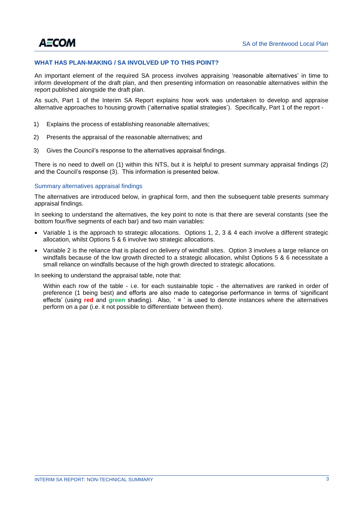# **WHAT HAS PLAN-MAKING / SA INVOLVED UP TO THIS POINT?**

An important element of the required SA process involves appraising 'reasonable alternatives' in time to inform development of the draft plan, and then presenting information on reasonable alternatives within the report published alongside the draft plan.

As such, Part 1 of the Interim SA Report explains how work was undertaken to develop and appraise alternative approaches to housing growth ('alternative spatial strategies'). Specifically, Part 1 of the report -

- 1) Explains the process of establishing reasonable alternatives;
- 2) Presents the appraisal of the reasonable alternatives; and
- 3) Gives the Council's response to the alternatives appraisal findings.

There is no need to dwell on (1) within this NTS, but it is helpful to present summary appraisal findings (2) and the Council's response (3). This information is presented below.

# Summary alternatives appraisal findings

The alternatives are introduced below, in graphical form, and then the subsequent table presents summary appraisal findings.

In seeking to understand the alternatives, the key point to note is that there are several constants (see the bottom four/five segments of each bar) and two main variables:

- Variable 1 is the approach to strategic allocations. Options 1, 2, 3 & 4 each involve a different strategic allocation, whilst Options 5 & 6 involve two strategic allocations.
- Variable 2 is the reliance that is placed on delivery of windfall sites. Option 3 involves a large reliance on windfalls because of the low growth directed to a strategic allocation, whilst Options 5 & 6 necessitate a small reliance on windfalls because of the high growth directed to strategic allocations.

In seeking to understand the appraisal table, note that:

Within each row of the table - i.e. for each sustainable topic - the alternatives are ranked in order of preference (1 being best) and efforts are also made to categorise performance in terms of 'significant effects' (using **red** and **green** shading). Also, ' **=** ' is used to denote instances where the alternatives perform on a par (i.e. it not possible to differentiate between them).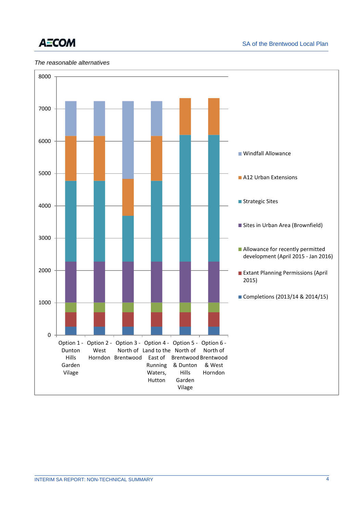

# *The reasonable alternatives*

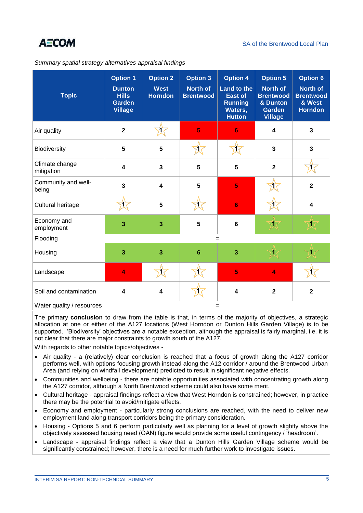| Summary spatial strategy alternatives appraisal findings |  |
|----------------------------------------------------------|--|
|                                                          |  |

| <b>Topic</b>                     | <b>Option 1</b><br><b>Dunton</b><br><b>Hills</b><br><b>Garden</b><br><b>Village</b> | <b>Option 2</b><br><b>West</b><br><b>Horndon</b> | <b>Option 3</b><br>North of<br><b>Brentwood</b> | <b>Option 4</b><br><b>Land to the</b><br><b>East of</b><br><b>Running</b><br>Waters,<br><b>Hutton</b> | <b>Option 5</b><br><b>North of</b><br><b>Brentwood</b><br>& Dunton<br><b>Garden</b><br><b>Village</b> | <b>Option 6</b><br><b>North of</b><br><b>Brentwood</b><br>& West<br><b>Horndon</b> |
|----------------------------------|-------------------------------------------------------------------------------------|--------------------------------------------------|-------------------------------------------------|-------------------------------------------------------------------------------------------------------|-------------------------------------------------------------------------------------------------------|------------------------------------------------------------------------------------|
| Air quality                      | $\mathbf{2}$                                                                        | T                                                | 5                                               | $6\phantom{1}6$                                                                                       | 4                                                                                                     | $\mathbf{3}$                                                                       |
| Biodiversity                     | 5                                                                                   | $5\phantom{1}$                                   | 17                                              |                                                                                                       | 3                                                                                                     | $\overline{\mathbf{3}}$                                                            |
| Climate change<br>mitigation     | $\overline{\mathbf{4}}$                                                             | $\mathbf{3}$                                     | 5                                               | 5                                                                                                     | $\mathbf{2}$                                                                                          |                                                                                    |
| Community and well-<br>being     | $\overline{\mathbf{3}}$                                                             | $\overline{\mathbf{4}}$                          | 5                                               | 5                                                                                                     |                                                                                                       | $\overline{2}$                                                                     |
| Cultural heritage                |                                                                                     | $5\phantom{1}$                                   |                                                 | $6\phantom{a}$                                                                                        |                                                                                                       | $\overline{\mathbf{4}}$                                                            |
| Economy and<br>employment        | 3                                                                                   | $\overline{\mathbf{3}}$                          | 5                                               | $\bf 6$                                                                                               | 1                                                                                                     | 1                                                                                  |
| Flooding                         |                                                                                     |                                                  |                                                 | $=$                                                                                                   |                                                                                                       |                                                                                    |
| Housing                          | $\overline{\mathbf{3}}$                                                             | $\overline{\mathbf{3}}$                          | $6\phantom{1}6$                                 | 3                                                                                                     | 1                                                                                                     | 1                                                                                  |
| Landscape                        | $\overline{\mathbf{4}}$                                                             |                                                  |                                                 | 5                                                                                                     | $\overline{\mathbf{4}}$                                                                               |                                                                                    |
| Soil and contamination           | $\overline{\mathbf{4}}$                                                             | $\overline{\mathbf{4}}$                          |                                                 | $\overline{\mathbf{4}}$                                                                               | $\overline{\mathbf{2}}$                                                                               | $\overline{\mathbf{2}}$                                                            |
| Water quality / resources<br>$=$ |                                                                                     |                                                  |                                                 |                                                                                                       |                                                                                                       |                                                                                    |

The primary **conclusion** to draw from the table is that, in terms of the majority of objectives, a strategic allocation at one or either of the A127 locations (West Horndon or Dunton Hills Garden Village) is to be supported. 'Biodiversity' objectives are a notable exception, although the appraisal is fairly marginal, i.e. it is not clear that there are major constraints to growth south of the A127.

With regards to other notable topics/objectives -

- Air quality a (relatively) clear conclusion is reached that a focus of growth along the A127 corridor performs well, with options focusing growth instead along the A12 corridor / around the Brentwood Urban Area (and relying on windfall development) predicted to result in significant negative effects.
- Communities and wellbeing there are notable opportunities associated with concentrating growth along the A127 corridor, although a North Brentwood scheme could also have some merit.
- Cultural heritage appraisal findings reflect a view that West Horndon is constrained; however, in practice there may be the potential to avoid/mitigate effects.
- Economy and employment particularly strong conclusions are reached, with the need to deliver new employment land along transport corridors being the primary consideration.
- Housing Options 5 and 6 perform particularly well as planning for a level of growth slightly above the objectively assessed housing need (OAN) figure would provide some useful contingency / 'headroom'.
- Landscape appraisal findings reflect a view that a Dunton Hills Garden Village scheme would be significantly constrained; however, there is a need for much further work to investigate issues.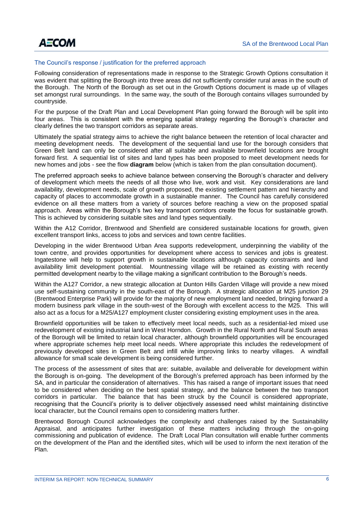

# The Council's response / justification for the preferred approach

Following consideration of representations made in response to the Strategic Growth Options consultation it was evident that splitting the Borough into three areas did not sufficiently consider rural areas in the south of the Borough. The North of the Borough as set out in the Growth Options document is made up of villages set amongst rural surroundings. In the same way, the south of the Borough contains villages surrounded by countryside.

For the purpose of the Draft Plan and Local Development Plan going forward the Borough will be split into four areas. This is consistent with the emerging spatial strategy regarding the Borough's character and clearly defines the two transport corridors as separate areas.

Ultimately the spatial strategy aims to achieve the right balance between the retention of local character and meeting development needs. The development of the sequential land use for the borough considers that Green Belt land can only be considered after all suitable and available brownfield locations are brought forward first. A sequential list of sites and land types has been proposed to meet development needs for new homes and jobs - see the flow **diagram** below (which is taken from the plan consultation document).

The preferred approach seeks to achieve balance between conserving the Borough's character and delivery of development which meets the needs of all those who live, work and visit. Key considerations are land availability, development needs, scale of growth proposed, the existing settlement pattern and hierarchy and capacity of places to accommodate growth in a sustainable manner. The Council has carefully considered evidence on all these matters from a variety of sources before reaching a view on the proposed spatial approach. Areas within the Borough's two key transport corridors create the focus for sustainable growth. This is achieved by considering suitable sites and land types sequentially.

Within the A12 Corridor, Brentwood and Shenfield are considered sustainable locations for growth, given excellent transport links, access to jobs and services and town centre facilities.

Developing in the wider Brentwood Urban Area supports redevelopment, underpinning the viability of the town centre, and provides opportunities for development where access to services and jobs is greatest. Ingatestone will help to support growth in sustainable locations although capacity constraints and land availability limit development potential. Mountnessing village will be retained as existing with recently permitted development nearby to the village making a significant contribution to the Borough's needs.

Within the A127 Corridor, a new strategic allocation at Dunton Hills Garden Village will provide a new mixed use self-sustaining community in the south-east of the Borough. A strategic allocation at M25 junction 29 (Brentwood Enterprise Park) will provide for the majority of new employment land needed, bringing forward a modern business park village in the south-west of the Borough with excellent access to the M25. This will also act as a focus for a M25/A127 employment cluster considering existing employment uses in the area.

Brownfield opportunities will be taken to effectively meet local needs, such as a residential-led mixed use redevelopment of existing industrial land in West Horndon. Growth in the Rural North and Rural South areas of the Borough will be limited to retain local character, although brownfield opportunities will be encouraged where appropriate schemes help meet local needs. Where appropriate this includes the redevelopment of previously developed sites in Green Belt and infill while improving links to nearby villages. A windfall allowance for small scale development is being considered further.

The process of the assessment of sites that are: suitable, available and deliverable for development within the Borough is on-going. The development of the Borough's preferred approach has been informed by the SA, and in particular the consideration of alternatives. This has raised a range of important issues that need to be considered when deciding on the best spatial strategy, and the balance between the two transport corridors in particular. The balance that has been struck by the Council is considered appropriate, recognising that the Council's priority is to deliver objectively assessed need whilst maintaining distinctive local character, but the Council remains open to considering matters further.

Brentwood Borough Council acknowledges the complexity and challenges raised by the Sustainability Appraisal, and anticipates further investigation of these matters including through the on-going commissioning and publication of evidence. The Draft Local Plan consultation will enable further comments on the development of the Plan and the identified sites, which will be used to inform the next iteration of the Plan.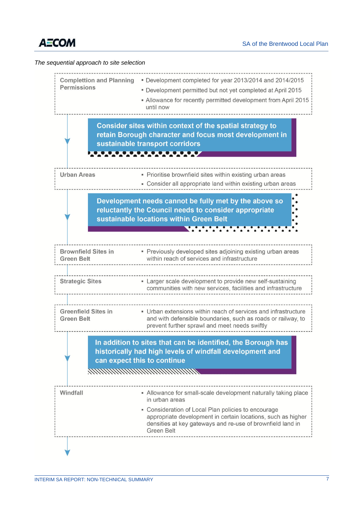

# *The sequential approach to site selection*

| <b>Complettion and Planning</b><br><b>Permissions</b>                                                                                                                                                                    | * Development completed for year 2013/2014 and 2014/2015<br>• Development permitted but not yet completed at April 2015<br>- Allowance for recently permitted development from April 2015<br>until now                                                                                     |  |  |
|--------------------------------------------------------------------------------------------------------------------------------------------------------------------------------------------------------------------------|--------------------------------------------------------------------------------------------------------------------------------------------------------------------------------------------------------------------------------------------------------------------------------------------|--|--|
|                                                                                                                                                                                                                          | Consider sites within context of the spatial strategy to<br>retain Borough character and focus most development in<br>sustainable transport corridors<br>$\overline{\phantom{a}}$<br>т                                                                                                     |  |  |
| <b>Urban Areas</b>                                                                                                                                                                                                       | • Prioritise brownfield sites within existing urban areas                                                                                                                                                                                                                                  |  |  |
| • Consider all appropriate land within existing urban areas<br>Development needs cannot be fully met by the above so<br>reluctantly the Council needs to consider appropriate<br>sustainable locations within Green Belt |                                                                                                                                                                                                                                                                                            |  |  |
| <b>Brownfield Sites in</b><br><b>Green Belt</b>                                                                                                                                                                          | • Previously developed sites adjoining existing urban areas<br>within reach of services and infrastructure                                                                                                                                                                                 |  |  |
| <b>Strategic Sites</b>                                                                                                                                                                                                   | Larger scale development to provide new self-sustaining<br>communities with new services, facilities and infrastructure                                                                                                                                                                    |  |  |
| <b>Greenfield Sites in</b><br><b>Green Belt</b>                                                                                                                                                                          | • Urban extensions within reach of services and infrastructure<br>and with defensible boundaries, such as roads or railway, to<br>prevent further sprawl and meet needs swiftly                                                                                                            |  |  |
| In addition to sites that can be identified, the Borough has<br>historically had high levels of windfall development and<br>can expect this to continue                                                                  |                                                                                                                                                                                                                                                                                            |  |  |
| Windfall                                                                                                                                                                                                                 | - Allowance for small-scale development naturally taking place<br>in urban areas<br>• Consideration of Local Plan policies to encourage<br>appropriate development in certain locations, such as higher<br>densities at key gateways and re-use of brownfield land in<br><b>Green Belt</b> |  |  |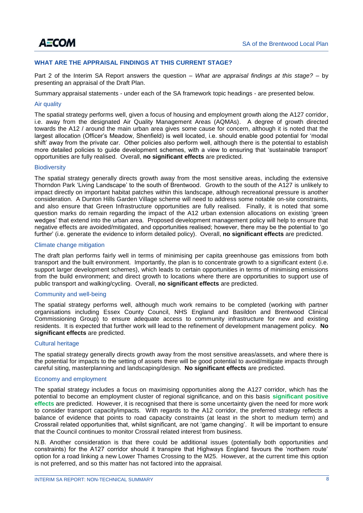

# **WHAT ARE THE APPRAISAL FINDINGS AT THIS CURRENT STAGE?**

Part 2 of the Interim SA Report answers the question – *What are appraisal findings at this stage?* – by presenting an appraisal of the Draft Plan.

Summary appraisal statements - under each of the SA framework topic headings - are presented below.

#### Air quality

The spatial strategy performs well, given a focus of housing and employment growth along the A127 corridor, i.e. away from the designated Air Quality Management Areas (AQMAs). A degree of growth directed towards the A12 / around the main urban area gives some cause for concern, although it is noted that the largest allocation (Officer's Meadow, Shenfield) is well located, i.e. should enable good potential for 'modal shift' away from the private car. Other policies also perform well, although there is the potential to establish more detailed policies to guide development schemes, with a view to ensuring that 'sustainable transport' opportunities are fully realised. Overall, **no significant effects** are predicted.

#### **Biodiversity**

The spatial strategy generally directs growth away from the most sensitive areas, including the extensive Thorndon Park 'Living Landscape' to the south of Brentwood. Growth to the south of the A127 is unlikely to impact directly on important habitat patches within this landscape, although recreational pressure is another consideration. A Dunton Hills Garden Village scheme will need to address some notable on-site constraints, and also ensure that Green Infrastructure opportunities are fully realised. Finally, it is noted that some question marks do remain regarding the impact of the A12 urban extension allocations on existing 'green wedges' that extend into the urban area. Proposed development management policy will help to ensure that negative effects are avoided/mitigated, and opportunities realised; however, there may be the potential to 'go further' (i.e. generate the evidence to inform detailed policy). Overall, **no significant effects** are predicted.

#### Climate change mitigation

The draft plan performs fairly well in terms of minimising per capita greenhouse gas emissions from both transport and the built environment. Importantly, the plan is to concentrate growth to a significant extent (i.e. support larger development schemes), which leads to certain opportunities in terms of minimising emissions from the build environment; and direct growth to locations where there are opportunities to support use of public transport and walking/cycling. Overall, **no significant effects** are predicted.

# Community and well-being

The spatial strategy performs well, although much work remains to be completed (working with partner organisations including Essex County Council, NHS England and Basildon and Brentwood Clinical Commissioning Group) to ensure adequate access to community infrastructure for new and existing residents. It is expected that further work will lead to the refinement of development management policy. **No significant effects** are predicted.

# Cultural heritage

The spatial strategy generally directs growth away from the most sensitive areas/assets, and where there is the potential for impacts to the setting of assets there will be good potential to avoid/mitigate impacts through careful siting, masterplanning and landscaping/design. **No significant effects** are predicted.

# Economy and employment

The spatial strategy includes a focus on maximising opportunities along the A127 corridor, which has the potential to become an employment cluster of regional significance, and on this basis **significant positive effects** are predicted. However, it is recognised that there is some uncertainty given the need for more work to consider transport capacity/impacts. With regards to the A12 corridor, the preferred strategy reflects a balance of evidence that points to road capacity constraints (at least in the short to medium term) and Crossrail related opportunities that, whilst significant, are not 'game changing'. It will be important to ensure that the Council continues to monitor Crossrail related interest from business.

N.B. Another consideration is that there could be additional issues (potentially both opportunities and constraints) for the A127 corridor should it transpire that Highways England favours the 'northern route' option for a road linking a new Lower Thames Crossing to the M25. However, at the current time this option is not preferred, and so this matter has not factored into the appraisal.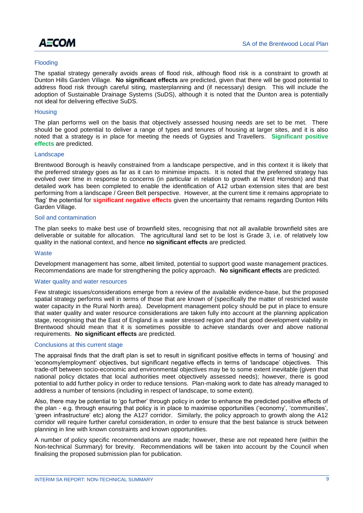

# **Flooding**

The spatial strategy generally avoids areas of flood risk, although flood risk is a constraint to growth at Dunton Hills Garden Village. **No significant effects** are predicted, given that there will be good potential to address flood risk through careful siting, masterplanning and (if necessary) design. This will include the adoption of Sustainable Drainage Systems (SuDS), although it is noted that the Dunton area is potentially not ideal for delivering effective SuDS.

# **Housing**

The plan performs well on the basis that objectively assessed housing needs are set to be met. There should be good potential to deliver a range of types and tenures of housing at larger sites, and it is also noted that a strategy is in place for meeting the needs of Gypsies and Travellers. **Significant positive effects** are predicted.

#### Landscape

Brentwood Borough is heavily constrained from a landscape perspective, and in this context it is likely that the preferred strategy goes as far as it can to minimise impacts. It is noted that the preferred strategy has evolved over time in response to concerns (in particular in relation to growth at West Horndon) and that detailed work has been completed to enable the identification of A12 urban extension sites that are best performing from a landscape / Green Belt perspective. However, at the current time it remains appropriate to 'flag' the potential for **significant negative effects** given the uncertainty that remains regarding Dunton Hills Garden Village.

# Soil and contamination

The plan seeks to make best use of brownfield sites, recognising that not all available brownfield sites are deliverable or suitable for allocation. The agricultural land set to be lost is Grade 3, i.e. of relatively low quality in the national context, and hence **no significant effects** are predicted.

#### **Waste**

Development management has some, albeit limited, potential to support good waste management practices. Recommendations are made for strengthening the policy approach. **No significant effects** are predicted.

#### Water quality and water resources

Few strategic issues/considerations emerge from a review of the available evidence-base, but the proposed spatial strategy performs well in terms of those that are known of (specifically the matter of restricted waste water capacity in the Rural North area). Development management policy should be put in place to ensure that water quality and water resource considerations are taken fully into account at the planning application stage, recognising that the East of England is a water stressed region and that good development viability in Brentwood should mean that it is sometimes possible to achieve standards over and above national requirements. **No significant effects** are predicted.

#### Conclusions at this current stage

The appraisal finds that the draft plan is set to result in significant positive effects in terms of 'housing' and 'economy/employment' objectives, but significant negative effects in terms of 'landscape' objectives. This trade-off between socio-economic and environmental objectives may be to some extent inevitable (given that national policy dictates that local authorities meet objectively assessed needs); however, there is good potential to add further policy in order to reduce tensions. Plan-making work to date has already managed to address a number of tensions (including in respect of landscape, to some extent).

Also, there may be potential to 'go further' through policy in order to enhance the predicted positive effects of the plan - e.g. through ensuring that policy is in place to maximise opportunities ('economy', 'communities', 'green infrastructure' etc) along the A127 corridor. Similarly, the policy approach to growth along the A12 corridor will require further careful consideration, in order to ensure that the best balance is struck between planning in line with known constraints and known opportunities.

A number of policy specific recommendations are made; however, these are not repeated here (within the Non-technical Summary) for brevity. Recommendations will be taken into account by the Council when finalising the proposed submission plan for publication.